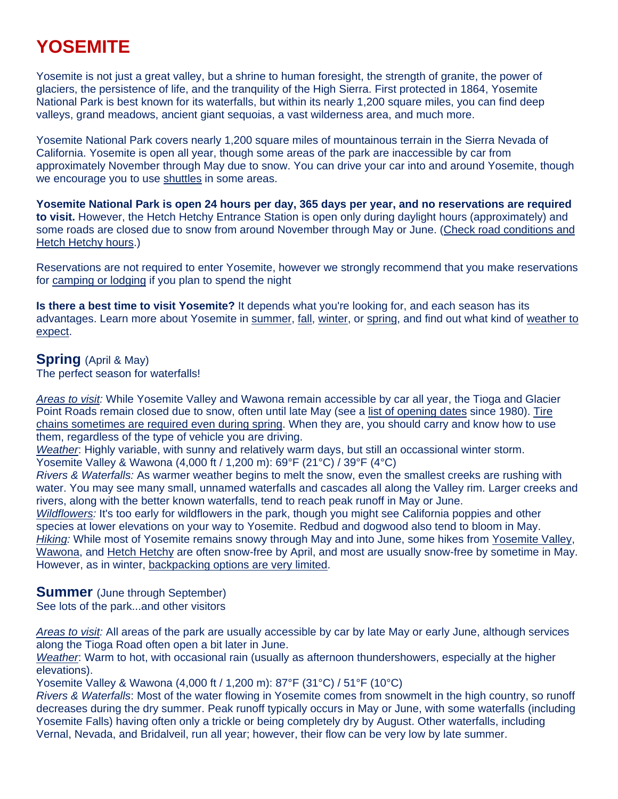# **YOSEMITE**

Yosemite is not just a great valley, but a shrine to human foresight, the strength of granite, the power of glaciers, the persistence of life, and the tranquility of the High Sierra. First protected in 1864, Yosemite National Park is best known for its waterfalls, but within its nearly 1,200 square miles, you can find deep valleys, grand meadows, ancient giant sequoias, a vast wilderness area, and much more.

Yosemite National Park covers nearly 1,200 square miles of mountainous terrain in the Sierra Nevada of California. Yosemite is open all year, though some areas of the park are inaccessible by car from approximately November through May due to snow. You can drive your car into and around Yosemite, though we encourage you to use shuttles in some areas.

**Yosemite National Park is open 24 hours per day, 365 days per year, and no reservations are required to visit.** However, the Hetch Hetchy Entrance Station is open only during daylight hours (approximately) and some roads are closed due to snow from around November through May or June. (Check road conditions and Hetch Hetchy hours.)

Reservations are not required to enter Yosemite, however we strongly recommend that you make reservations for camping or lodging if you plan to spend the night

**Is there a best time to visit Yosemite?** It depends what you're looking for, and each season has its advantages. Learn more about Yosemite in summer, fall, winter, or spring, and find out what kind of weather to expect.

# **Spring** (April & May)

The perfect season for waterfalls!

*Areas to visit:* While Yosemite Valley and Wawona remain accessible by car all year, the Tioga and Glacier Point Roads remain closed due to snow, often until late May (see a list of opening dates since 1980). Tire chains sometimes are required even during spring. When they are, you should carry and know how to use them, regardless of the type of vehicle you are driving.

*Weather*: Highly variable, with sunny and relatively warm days, but still an occassional winter storm. Yosemite Valley & Wawona (4,000 ft / 1,200 m): 69°F (21°C) / 39°F (4°C)

*Rivers & Waterfalls:* As warmer weather begins to melt the snow, even the smallest creeks are rushing with water. You may see many small, unnamed waterfalls and cascades all along the Valley rim. Larger creeks and rivers, along with the better known waterfalls, tend to reach peak runoff in May or June.

*Wildflowers:* It's too early for wildflowers in the park, though you might see California poppies and other species at lower elevations on your way to Yosemite. Redbud and dogwood also tend to bloom in May. *Hiking:* While most of Yosemite remains snowy through May and into June, some hikes from Yosemite Valley, Wawona, and Hetch Hetchy are often snow-free by April, and most are usually snow-free by sometime in May. However, as in winter, backpacking options are very limited.

# **Summer** (June through September)

See lots of the park...and other visitors

*Areas to visit:* All areas of the park are usually accessible by car by late May or early June, although services along the Tioga Road often open a bit later in June.

*Weather*: Warm to hot, with occasional rain (usually as afternoon thundershowers, especially at the higher elevations).

Yosemite Valley & Wawona (4,000 ft / 1,200 m): 87°F (31°C) / 51°F (10°C)

*Rivers & Waterfalls*: Most of the water flowing in Yosemite comes from snowmelt in the high country, so runoff decreases during the dry summer. Peak runoff typically occurs in May or June, with some waterfalls (including Yosemite Falls) having often only a trickle or being completely dry by August. Other waterfalls, including Vernal, Nevada, and Bridalveil, run all year; however, their flow can be very low by late summer.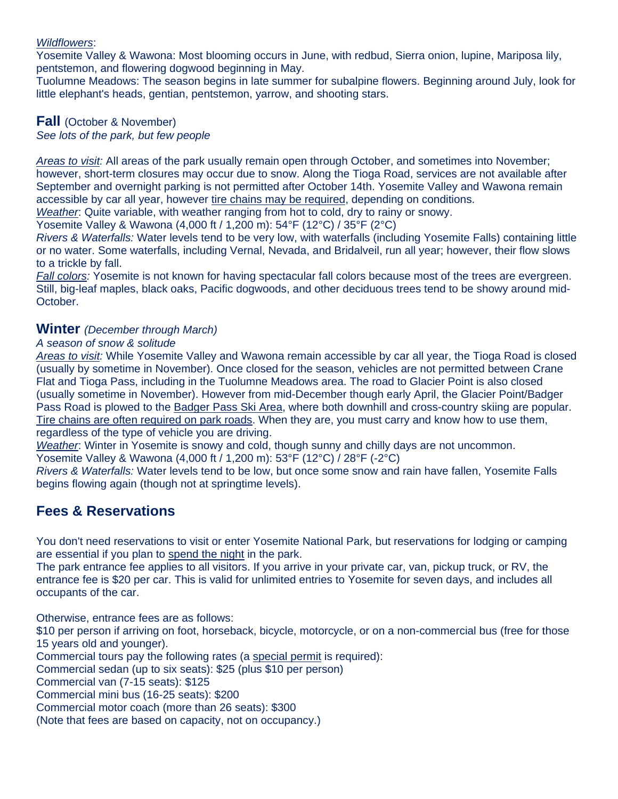#### *Wildflowers*:

Yosemite Valley & Wawona: Most blooming occurs in June, with redbud, Sierra onion, lupine, Mariposa lily, pentstemon, and flowering dogwood beginning in May.

Tuolumne Meadows: The season begins in late summer for subalpine flowers. Beginning around July, look for little elephant's heads, gentian, pentstemon, yarrow, and shooting stars.

## **Fall** (October & November)

*See lots of the park, but few people* 

*Areas to visit:* All areas of the park usually remain open through October, and sometimes into November; however, short-term closures may occur due to snow. Along the Tioga Road, services are not available after September and overnight parking is not permitted after October 14th. Yosemite Valley and Wawona remain accessible by car all year, however tire chains may be required, depending on conditions. *Weather*: Quite variable, with weather ranging from hot to cold, dry to rainy or snowy.

Yosemite Valley & Wawona (4,000 ft / 1,200 m): 54°F (12°C) / 35°F (2°C)

*Rivers & Waterfalls:* Water levels tend to be very low, with waterfalls (including Yosemite Falls) containing little or no water. Some waterfalls, including Vernal, Nevada, and Bridalveil, run all year; however, their flow slows to a trickle by fall.

*Fall colors:* Yosemite is not known for having spectacular fall colors because most of the trees are evergreen. Still, big-leaf maples, black oaks, Pacific dogwoods, and other deciduous trees tend to be showy around mid-October.

# **Winter** *(December through March)*

#### *A season of snow & solitude*

*Areas to visit:* While Yosemite Valley and Wawona remain accessible by car all year, the Tioga Road is closed (usually by sometime in November). Once closed for the season, vehicles are not permitted between Crane Flat and Tioga Pass, including in the Tuolumne Meadows area. The road to Glacier Point is also closed (usually sometime in November). However from mid-December though early April, the Glacier Point/Badger Pass Road is plowed to the Badger Pass Ski Area, where both downhill and cross-country skiing are popular. Tire chains are often required on park roads. When they are, you must carry and know how to use them, regardless of the type of vehicle you are driving.

*Weather*: Winter in Yosemite is snowy and cold, though sunny and chilly days are not uncommon.

Yosemite Valley & Wawona (4,000 ft / 1,200 m): 53°F (12°C) / 28°F (-2°C)

*Rivers & Waterfalls:* Water levels tend to be low, but once some snow and rain have fallen, Yosemite Falls begins flowing again (though not at springtime levels).

# **Fees & Reservations**

You don't need reservations to visit or enter Yosemite National Park, but reservations for lodging or camping are essential if you plan to spend the night in the park.

The park entrance fee applies to all visitors. If you arrive in your private car, van, pickup truck, or RV, the entrance fee is \$20 per car. This is valid for unlimited entries to Yosemite for seven days, and includes all occupants of the car.

Otherwise, entrance fees are as follows:

\$10 per person if arriving on foot, horseback, bicycle, motorcycle, or on a non-commercial bus (free for those 15 years old and younger).

Commercial tours pay the following rates (a special permit is required):

Commercial sedan (up to six seats): \$25 (plus \$10 per person)

Commercial van (7-15 seats): \$125

Commercial mini bus (16-25 seats): \$200

Commercial motor coach (more than 26 seats): \$300

(Note that fees are based on capacity, not on occupancy.)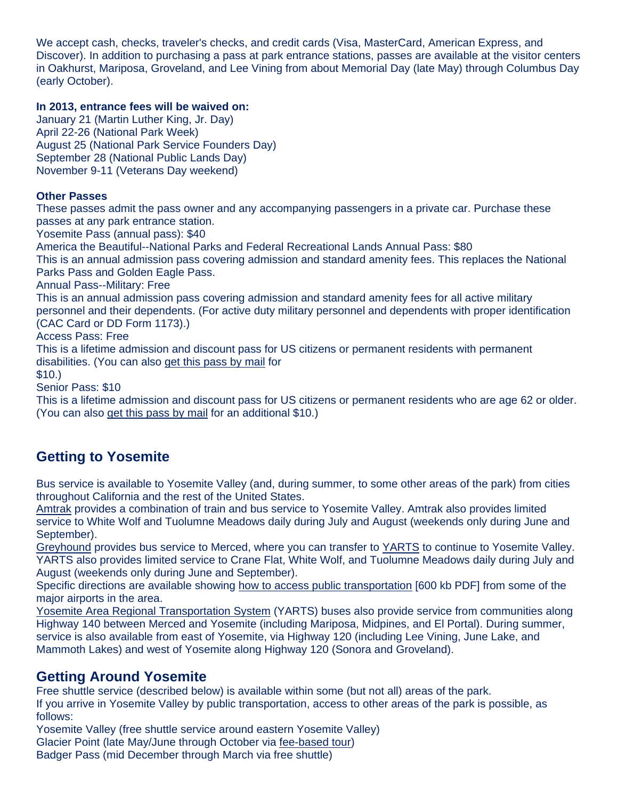We accept cash, checks, traveler's checks, and credit cards (Visa, MasterCard, American Express, and Discover). In addition to purchasing a pass at park entrance stations, passes are available at the visitor centers in Oakhurst, Mariposa, Groveland, and Lee Vining from about Memorial Day (late May) through Columbus Day (early October).

#### **In 2013, entrance fees will be waived on:**

January 21 (Martin Luther King, Jr. Day) April 22-26 (National Park Week) August 25 (National Park Service Founders Day) September 28 (National Public Lands Day) November 9-11 (Veterans Day weekend)

#### **Other Passes**

These passes admit the pass owner and any accompanying passengers in a private car. Purchase these passes at any park entrance station.

Yosemite Pass (annual pass): \$40

America the Beautiful--National Parks and Federal Recreational Lands Annual Pass: \$80

This is an annual admission pass covering admission and standard amenity fees. This replaces the National Parks Pass and Golden Eagle Pass.

Annual Pass--Military: Free

This is an annual admission pass covering admission and standard amenity fees for all active military personnel and their dependents. (For active duty military personnel and dependents with proper identification (CAC Card or DD Form 1173).)

Access Pass: Free

This is a lifetime admission and discount pass for US citizens or permanent residents with permanent disabilities. (You can also get this pass by mail for

\$10.)

Senior Pass: \$10

This is a lifetime admission and discount pass for US citizens or permanent residents who are age 62 or older. (You can also get this pass by mail for an additional \$10.)

# **Getting to Yosemite**

Bus service is available to Yosemite Valley (and, during summer, to some other areas of the park) from cities throughout California and the rest of the United States.

Amtrak provides a combination of train and bus service to Yosemite Valley. Amtrak also provides limited service to White Wolf and Tuolumne Meadows daily during July and August (weekends only during June and September).

Greyhound provides bus service to Merced, where you can transfer to YARTS to continue to Yosemite Valley. YARTS also provides limited service to Crane Flat, White Wolf, and Tuolumne Meadows daily during July and August (weekends only during June and September).

Specific directions are available showing how to access public transportation [600 kb PDF] from some of the major airports in the area.

Yosemite Area Regional Transportation System (YARTS) buses also provide service from communities along Highway 140 between Merced and Yosemite (including Mariposa, Midpines, and El Portal). During summer, service is also available from east of Yosemite, via Highway 120 (including Lee Vining, June Lake, and Mammoth Lakes) and west of Yosemite along Highway 120 (Sonora and Groveland).

# **Getting Around Yosemite**

Free shuttle service (described below) is available within some (but not all) areas of the park.

If you arrive in Yosemite Valley by public transportation, access to other areas of the park is possible, as follows:

Yosemite Valley (free shuttle service around eastern Yosemite Valley) Glacier Point (late May/June through October via fee-based tour) Badger Pass (mid December through March via free shuttle)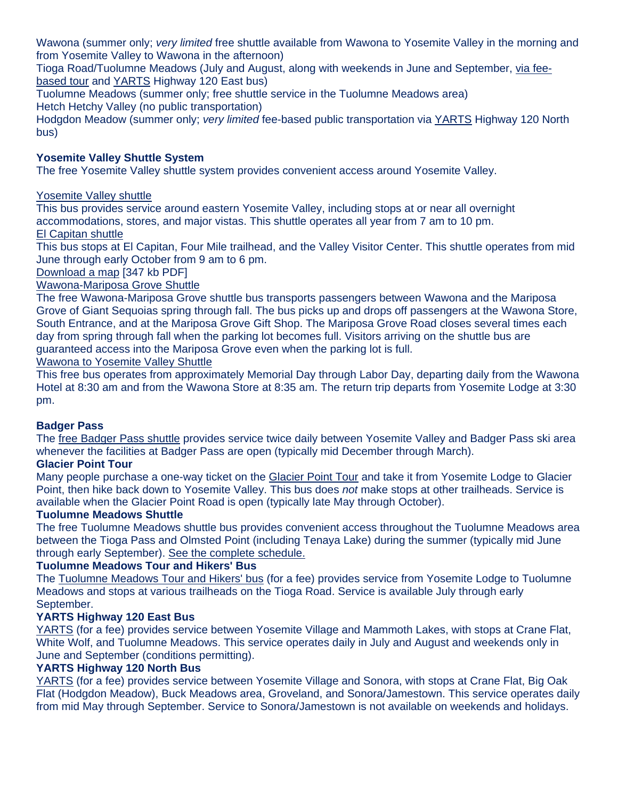Wawona (summer only; *very limited* free shuttle available from Wawona to Yosemite Valley in the morning and from Yosemite Valley to Wawona in the afternoon)

Tioga Road/Tuolumne Meadows (July and August, along with weekends in June and September, via feebased tour and YARTS Highway 120 East bus)

Tuolumne Meadows (summer only; free shuttle service in the Tuolumne Meadows area) Hetch Hetchy Valley (no public transportation)

Hodgdon Meadow (summer only; *very limited* fee-based public transportation via YARTS Highway 120 North bus)

## **Yosemite Valley Shuttle System**

The free Yosemite Valley shuttle system provides convenient access around Yosemite Valley.

## Yosemite Valley shuttle

This bus provides service around eastern Yosemite Valley, including stops at or near all overnight accommodations, stores, and major vistas. This shuttle operates all year from 7 am to 10 pm. El Capitan shuttle

This bus stops at El Capitan, Four Mile trailhead, and the Valley Visitor Center. This shuttle operates from mid June through early October from 9 am to 6 pm.

Download a map [347 kb PDF]

#### Wawona-Mariposa Grove Shuttle

The free Wawona-Mariposa Grove shuttle bus transports passengers between Wawona and the Mariposa Grove of Giant Sequoias spring through fall. The bus picks up and drops off passengers at the Wawona Store, South Entrance, and at the Mariposa Grove Gift Shop. The Mariposa Grove Road closes several times each day from spring through fall when the parking lot becomes full. Visitors arriving on the shuttle bus are guaranteed access into the Mariposa Grove even when the parking lot is full.

#### Wawona to Yosemite Valley Shuttle

This free bus operates from approximately Memorial Day through Labor Day, departing daily from the Wawona Hotel at 8:30 am and from the Wawona Store at 8:35 am. The return trip departs from Yosemite Lodge at 3:30 pm.

#### **Badger Pass**

The free Badger Pass shuttle provides service twice daily between Yosemite Valley and Badger Pass ski area whenever the facilities at Badger Pass are open (typically mid December through March).

#### **Glacier Point Tour**

Many people purchase a one-way ticket on the Glacier Point Tour and take it from Yosemite Lodge to Glacier Point, then hike back down to Yosemite Valley. This bus does *not* make stops at other trailheads. Service is available when the Glacier Point Road is open (typically late May through October).

#### **Tuolumne Meadows Shuttle**

The free Tuolumne Meadows shuttle bus provides convenient access throughout the Tuolumne Meadows area between the Tioga Pass and Olmsted Point (including Tenaya Lake) during the summer (typically mid June through early September). See the complete schedule.

#### **Tuolumne Meadows Tour and Hikers' Bus**

The Tuolumne Meadows Tour and Hikers' bus (for a fee) provides service from Yosemite Lodge to Tuolumne Meadows and stops at various trailheads on the Tioga Road. Service is available July through early September.

#### **YARTS Highway 120 East Bus**

YARTS (for a fee) provides service between Yosemite Village and Mammoth Lakes, with stops at Crane Flat, White Wolf, and Tuolumne Meadows. This service operates daily in July and August and weekends only in June and September (conditions permitting).

#### **YARTS Highway 120 North Bus**

YARTS (for a fee) provides service between Yosemite Village and Sonora, with stops at Crane Flat, Big Oak Flat (Hodgdon Meadow), Buck Meadows area, Groveland, and Sonora/Jamestown. This service operates daily from mid May through September. Service to Sonora/Jamestown is not available on weekends and holidays.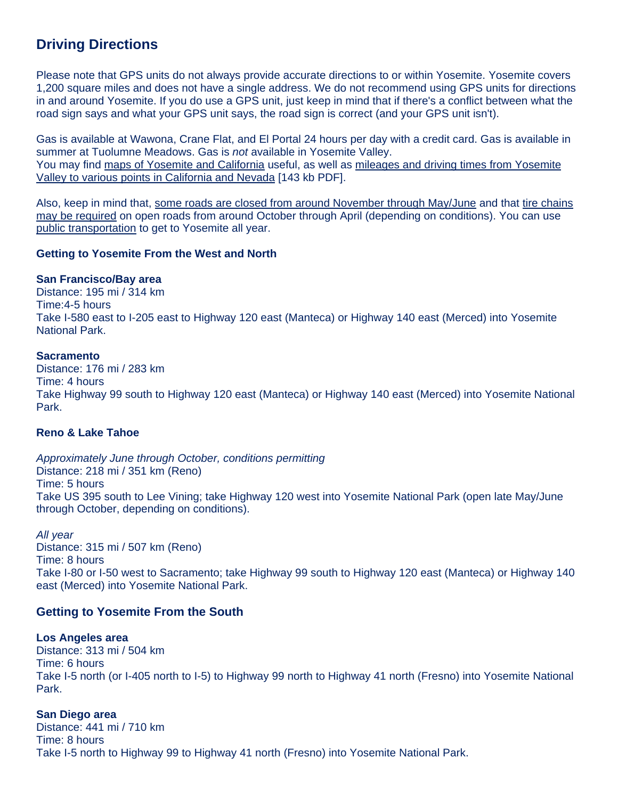# **Driving Directions**

Please note that GPS units do not always provide accurate directions to or within Yosemite. Yosemite covers 1,200 square miles and does not have a single address. We do not recommend using GPS units for directions in and around Yosemite. If you do use a GPS unit, just keep in mind that if there's a conflict between what the road sign says and what your GPS unit says, the road sign is correct (and your GPS unit isn't).

Gas is available at Wawona, Crane Flat, and El Portal 24 hours per day with a credit card. Gas is available in summer at Tuolumne Meadows. Gas is *not* available in Yosemite Valley. You may find maps of Yosemite and California useful, as well as mileages and driving times from Yosemite Valley to various points in California and Nevada [143 kb PDF].

Also, keep in mind that, some roads are closed from around November through May/June and that tire chains may be required on open roads from around October through April (depending on conditions). You can use public transportation to get to Yosemite all year.

#### **Getting to Yosemite From the West and North**

#### **San Francisco/Bay area**

Distance: 195 mi / 314 km Time:4-5 hours Take I-580 east to I-205 east to Highway 120 east (Manteca) or Highway 140 east (Merced) into Yosemite National Park.

#### **Sacramento**

Distance: 176 mi / 283 km Time: 4 hours Take Highway 99 south to Highway 120 east (Manteca) or Highway 140 east (Merced) into Yosemite National Park.

## **Reno & Lake Tahoe**

*Approximately June through October, conditions permitting* Distance: 218 mi / 351 km (Reno) Time: 5 hours Take US 395 south to Lee Vining; take Highway 120 west into Yosemite National Park (open late May/June through October, depending on conditions).

#### *All year*

Distance: 315 mi / 507 km (Reno) Time: 8 hours Take I-80 or I-50 west to Sacramento; take Highway 99 south to Highway 120 east (Manteca) or Highway 140 east (Merced) into Yosemite National Park.

#### **Getting to Yosemite From the South**

#### **Los Angeles area**

Distance: 313 mi / 504 km Time: 6 hours Take I-5 north (or I-405 north to I-5) to Highway 99 north to Highway 41 north (Fresno) into Yosemite National Park.

#### **San Diego area**

Distance: 441 mi / 710 km Time: 8 hours Take I-5 north to Highway 99 to Highway 41 north (Fresno) into Yosemite National Park.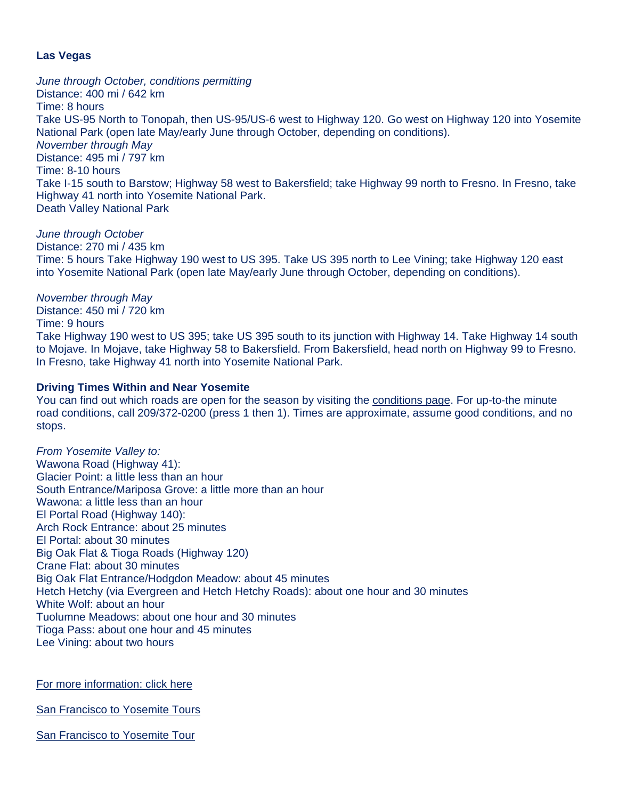#### **Las Vegas**

*June through October, conditions permitting* Distance: 400 mi / 642 km Time: 8 hours Take US-95 North to Tonopah, then US-95/US-6 west to Highway 120. Go west on Highway 120 into Yosemite National Park (open late May/early June through October, depending on conditions). *November through May*  Distance: 495 mi / 797 km Time: 8-10 hours Take I-15 south to Barstow; Highway 58 west to Bakersfield; take Highway 99 north to Fresno. In Fresno, take Highway 41 north into Yosemite National Park. Death Valley National Park

#### *June through October*

Distance: 270 mi / 435 km Time: 5 hours Take Highway 190 west to US 395. Take US 395 north to Lee Vining; take Highway 120 east into Yosemite National Park (open late May/early June through October, depending on conditions).

#### *November through May*

Distance: 450 mi / 720 km Time: 9 hours Take Highway 190 west to US 395; take US 395 south to its junction with Highway 14. Take Highway 14 south to Mojave. In Mojave, take Highway 58 to Bakersfield. From Bakersfield, head north on Highway 99 to Fresno. In Fresno, take Highway 41 north into Yosemite National Park.

#### **Driving Times Within and Near Yosemite**

You can find out which roads are open for the season by visiting the conditions page. For up-to-the minute road conditions, call 209/372-0200 (press 1 then 1). Times are approximate, assume good conditions, and no stops.

*From Yosemite Valley to:* Wawona Road (Highway 41): Glacier Point: a little less than an hour South Entrance/Mariposa Grove: a little more than an hour Wawona: a little less than an hour El Portal Road (Highway 140): Arch Rock Entrance: about 25 minutes El Portal: about 30 minutes Big Oak Flat & Tioga Roads (Highway 120) Crane Flat: about 30 minutes Big Oak Flat Entrance/Hodgdon Meadow: about 45 minutes Hetch Hetchy (via Evergreen and Hetch Hetchy Roads): about one hour and 30 minutes White Wolf: about an hour Tuolumne Meadows: about one hour and 30 minutes Tioga Pass: about one hour and 45 minutes Lee Vining: about two hours

For more information: click here

San Francisco to Yosemite Tours

San Francisco to Yosemite Tour